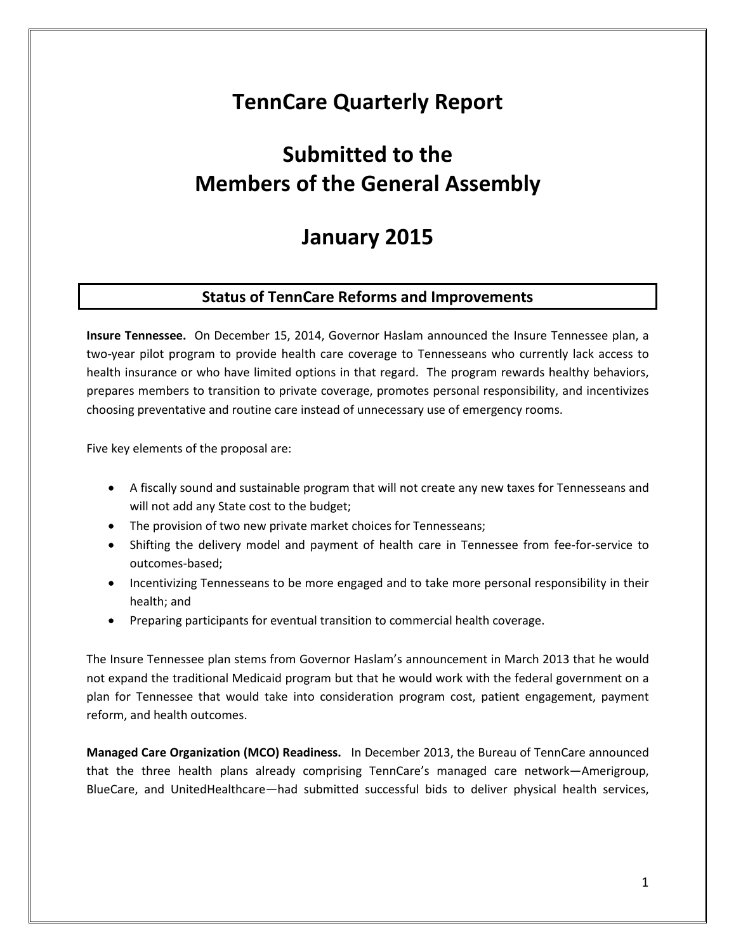## **TennCare Quarterly Report**

# **Submitted to the Members of the General Assembly**

## **January 2015**

## **Status of TennCare Reforms and Improvements**

**Insure Tennessee.** On December 15, 2014, Governor Haslam announced the Insure Tennessee plan, a two-year pilot program to provide health care coverage to Tennesseans who currently lack access to health insurance or who have limited options in that regard. The program rewards healthy behaviors, prepares members to transition to private coverage, promotes personal responsibility, and incentivizes choosing preventative and routine care instead of unnecessary use of emergency rooms.

Five key elements of the proposal are:

- A fiscally sound and sustainable program that will not create any new taxes for Tennesseans and will not add any State cost to the budget;
- The provision of two new private market choices for Tennesseans;
- Shifting the delivery model and payment of health care in Tennessee from fee-for-service to outcomes-based;
- Incentivizing Tennesseans to be more engaged and to take more personal responsibility in their health; and
- Preparing participants for eventual transition to commercial health coverage.

The Insure Tennessee plan stems from Governor Haslam's announcement in March 2013 that he would not expand the traditional Medicaid program but that he would work with the federal government on a plan for Tennessee that would take into consideration program cost, patient engagement, payment reform, and health outcomes.

**Managed Care Organization (MCO) Readiness.** In December 2013, the Bureau of TennCare announced that the three health plans already comprising TennCare's managed care network—Amerigroup, BlueCare, and UnitedHealthcare—had submitted successful bids to deliver physical health services,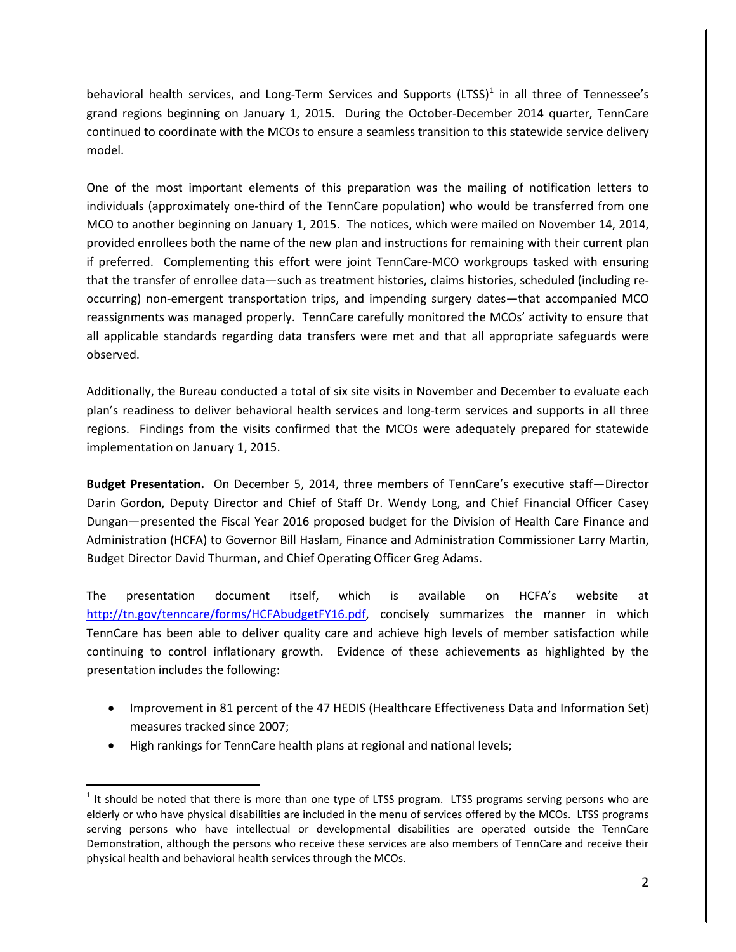behavioral health services, and Long-Term Services and Supports (LTSS) $<sup>1</sup>$  $<sup>1</sup>$  $<sup>1</sup>$  in all three of Tennessee's</sup> grand regions beginning on January 1, 2015. During the October-December 2014 quarter, TennCare continued to coordinate with the MCOs to ensure a seamless transition to this statewide service delivery model.

One of the most important elements of this preparation was the mailing of notification letters to individuals (approximately one-third of the TennCare population) who would be transferred from one MCO to another beginning on January 1, 2015. The notices, which were mailed on November 14, 2014, provided enrollees both the name of the new plan and instructions for remaining with their current plan if preferred. Complementing this effort were joint TennCare-MCO workgroups tasked with ensuring that the transfer of enrollee data—such as treatment histories, claims histories, scheduled (including reoccurring) non-emergent transportation trips, and impending surgery dates—that accompanied MCO reassignments was managed properly. TennCare carefully monitored the MCOs' activity to ensure that all applicable standards regarding data transfers were met and that all appropriate safeguards were observed.

Additionally, the Bureau conducted a total of six site visits in November and December to evaluate each plan's readiness to deliver behavioral health services and long-term services and supports in all three regions. Findings from the visits confirmed that the MCOs were adequately prepared for statewide implementation on January 1, 2015.

**Budget Presentation.** On December 5, 2014, three members of TennCare's executive staff—Director Darin Gordon, Deputy Director and Chief of Staff Dr. Wendy Long, and Chief Financial Officer Casey Dungan—presented the Fiscal Year 2016 proposed budget for the Division of Health Care Finance and Administration (HCFA) to Governor Bill Haslam, Finance and Administration Commissioner Larry Martin, Budget Director David Thurman, and Chief Operating Officer Greg Adams.

The presentation document itself, which is available on HCFA's website at [http://tn.gov/tenncare/forms/HCFAbudgetFY16.pdf,](http://tn.gov/tenncare/forms/HCFAbudgetFY16.pdf) concisely summarizes the manner in which TennCare has been able to deliver quality care and achieve high levels of member satisfaction while continuing to control inflationary growth. Evidence of these achievements as highlighted by the presentation includes the following:

- Improvement in 81 percent of the 47 HEDIS (Healthcare Effectiveness Data and Information Set) measures tracked since 2007;
- High rankings for TennCare health plans at regional and national levels;

<span id="page-1-0"></span> $<sup>1</sup>$  It should be noted that there is more than one type of LTSS program. LTSS programs serving persons who are</sup> elderly or who have physical disabilities are included in the menu of services offered by the MCOs. LTSS programs serving persons who have intellectual or developmental disabilities are operated outside the TennCare Demonstration, although the persons who receive these services are also members of TennCare and receive their physical health and behavioral health services through the MCOs.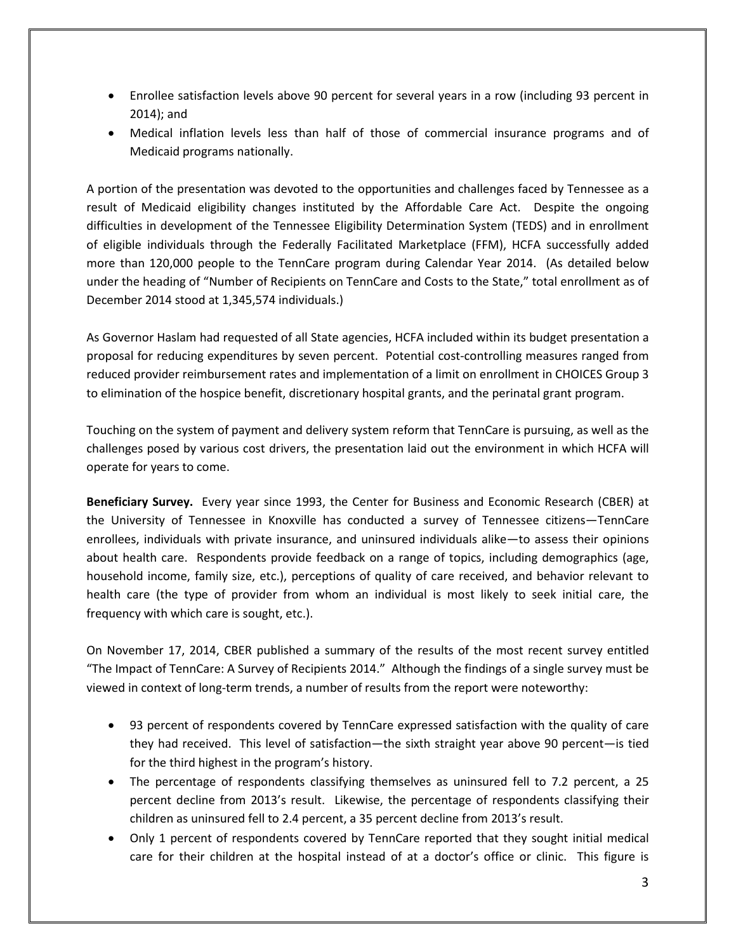- Enrollee satisfaction levels above 90 percent for several years in a row (including 93 percent in 2014); and
- Medical inflation levels less than half of those of commercial insurance programs and of Medicaid programs nationally.

A portion of the presentation was devoted to the opportunities and challenges faced by Tennessee as a result of Medicaid eligibility changes instituted by the Affordable Care Act. Despite the ongoing difficulties in development of the Tennessee Eligibility Determination System (TEDS) and in enrollment of eligible individuals through the Federally Facilitated Marketplace (FFM), HCFA successfully added more than 120,000 people to the TennCare program during Calendar Year 2014. (As detailed below under the heading of "Number of Recipients on TennCare and Costs to the State," total enrollment as of December 2014 stood at 1,345,574 individuals.)

As Governor Haslam had requested of all State agencies, HCFA included within its budget presentation a proposal for reducing expenditures by seven percent. Potential cost-controlling measures ranged from reduced provider reimbursement rates and implementation of a limit on enrollment in CHOICES Group 3 to elimination of the hospice benefit, discretionary hospital grants, and the perinatal grant program.

Touching on the system of payment and delivery system reform that TennCare is pursuing, as well as the challenges posed by various cost drivers, the presentation laid out the environment in which HCFA will operate for years to come.

**Beneficiary Survey.** Every year since 1993, the Center for Business and Economic Research (CBER) at the University of Tennessee in Knoxville has conducted a survey of Tennessee citizens—TennCare enrollees, individuals with private insurance, and uninsured individuals alike—to assess their opinions about health care. Respondents provide feedback on a range of topics, including demographics (age, household income, family size, etc.), perceptions of quality of care received, and behavior relevant to health care (the type of provider from whom an individual is most likely to seek initial care, the frequency with which care is sought, etc.).

On November 17, 2014, CBER published a summary of the results of the most recent survey entitled "The Impact of TennCare: A Survey of Recipients 2014." Although the findings of a single survey must be viewed in context of long-term trends, a number of results from the report were noteworthy:

- 93 percent of respondents covered by TennCare expressed satisfaction with the quality of care they had received. This level of satisfaction—the sixth straight year above 90 percent—is tied for the third highest in the program's history.
- The percentage of respondents classifying themselves as uninsured fell to 7.2 percent, a 25 percent decline from 2013's result. Likewise, the percentage of respondents classifying their children as uninsured fell to 2.4 percent, a 35 percent decline from 2013's result.
- Only 1 percent of respondents covered by TennCare reported that they sought initial medical care for their children at the hospital instead of at a doctor's office or clinic. This figure is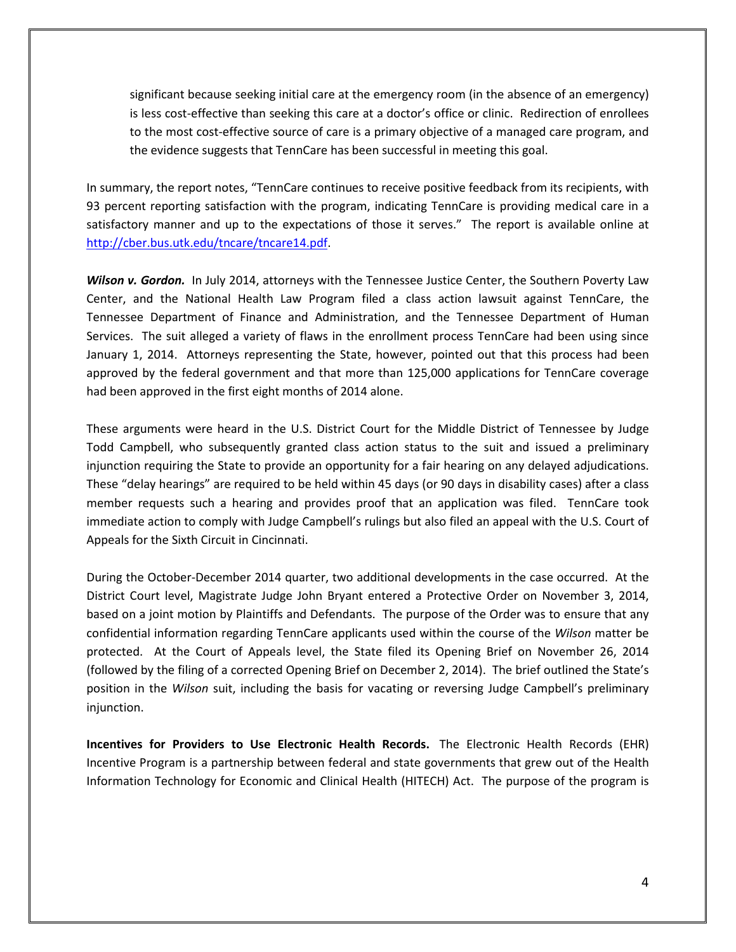significant because seeking initial care at the emergency room (in the absence of an emergency) is less cost-effective than seeking this care at a doctor's office or clinic. Redirection of enrollees to the most cost-effective source of care is a primary objective of a managed care program, and the evidence suggests that TennCare has been successful in meeting this goal.

In summary, the report notes, "TennCare continues to receive positive feedback from its recipients, with 93 percent reporting satisfaction with the program, indicating TennCare is providing medical care in a satisfactory manner and up to the expectations of those it serves." The report is available online at [http://cber.bus.utk.edu/tncare/tncare14.pdf.](http://cber.bus.utk.edu/tncare/tncare14.pdf)

*Wilson v. Gordon.* In July 2014, attorneys with the Tennessee Justice Center, the Southern Poverty Law Center, and the National Health Law Program filed a class action lawsuit against TennCare, the Tennessee Department of Finance and Administration, and the Tennessee Department of Human Services. The suit alleged a variety of flaws in the enrollment process TennCare had been using since January 1, 2014. Attorneys representing the State, however, pointed out that this process had been approved by the federal government and that more than 125,000 applications for TennCare coverage had been approved in the first eight months of 2014 alone.

These arguments were heard in the U.S. District Court for the Middle District of Tennessee by Judge Todd Campbell, who subsequently granted class action status to the suit and issued a preliminary injunction requiring the State to provide an opportunity for a fair hearing on any delayed adjudications. These "delay hearings" are required to be held within 45 days (or 90 days in disability cases) after a class member requests such a hearing and provides proof that an application was filed. TennCare took immediate action to comply with Judge Campbell's rulings but also filed an appeal with the U.S. Court of Appeals for the Sixth Circuit in Cincinnati.

During the October-December 2014 quarter, two additional developments in the case occurred. At the District Court level, Magistrate Judge John Bryant entered a Protective Order on November 3, 2014, based on a joint motion by Plaintiffs and Defendants. The purpose of the Order was to ensure that any confidential information regarding TennCare applicants used within the course of the *Wilson* matter be protected. At the Court of Appeals level, the State filed its Opening Brief on November 26, 2014 (followed by the filing of a corrected Opening Brief on December 2, 2014). The brief outlined the State's position in the *Wilson* suit, including the basis for vacating or reversing Judge Campbell's preliminary injunction.

**Incentives for Providers to Use Electronic Health Records.** The Electronic Health Records (EHR) Incentive Program is a partnership between federal and state governments that grew out of the Health Information Technology for Economic and Clinical Health (HITECH) Act. The purpose of the program is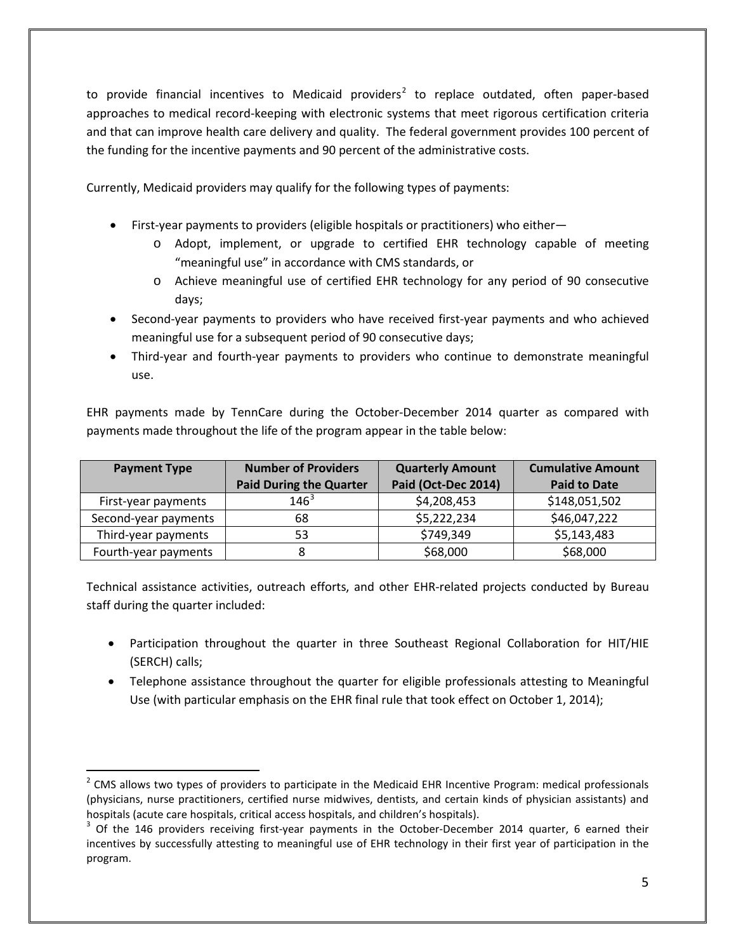to provide financial incentives to Medicaid providers<sup>[2](#page-4-0)</sup> to replace outdated, often paper-based approaches to medical record-keeping with electronic systems that meet rigorous certification criteria and that can improve health care delivery and quality. The federal government provides 100 percent of the funding for the incentive payments and 90 percent of the administrative costs.

Currently, Medicaid providers may qualify for the following types of payments:

- First-year payments to providers (eligible hospitals or practitioners) who either
	- o Adopt, implement, or upgrade to certified EHR technology capable of meeting "meaningful use" in accordance with CMS standards, or
	- o Achieve meaningful use of certified EHR technology for any period of 90 consecutive days;
- Second-year payments to providers who have received first-year payments and who achieved meaningful use for a subsequent period of 90 consecutive days;
- Third-year and fourth-year payments to providers who continue to demonstrate meaningful use.

EHR payments made by TennCare during the October-December 2014 quarter as compared with payments made throughout the life of the program appear in the table below:

| <b>Payment Type</b>  | <b>Number of Providers</b>     | <b>Quarterly Amount</b> | <b>Cumulative Amount</b> |
|----------------------|--------------------------------|-------------------------|--------------------------|
|                      | <b>Paid During the Quarter</b> | Paid (Oct-Dec 2014)     | <b>Paid to Date</b>      |
| First-year payments  | $146^{3}$                      | \$4,208,453             | \$148,051,502            |
| Second-year payments | 68                             | \$5,222,234             | \$46,047,222             |
| Third-year payments  | 53                             | \$749,349               | \$5,143,483              |
| Fourth-year payments |                                | \$68,000                | \$68,000                 |

Technical assistance activities, outreach efforts, and other EHR-related projects conducted by Bureau staff during the quarter included:

- Participation throughout the quarter in three Southeast Regional Collaboration for HIT/HIE (SERCH) calls;
- Telephone assistance throughout the quarter for eligible professionals attesting to Meaningful Use (with particular emphasis on the EHR final rule that took effect on October 1, 2014);

<span id="page-4-0"></span> $<sup>2</sup>$  CMS allows two types of providers to participate in the Medicaid EHR Incentive Program: medical professionals</sup> (physicians, nurse practitioners, certified nurse midwives, dentists, and certain kinds of physician assistants) and hospitals (acute care hospitals, critical access hospitals, and children's hospitals).<br><sup>3</sup> Of the 146 providers receiving first-year payments in the October-December 2014 quarter, 6 earned their  $\overline{a}$ 

<span id="page-4-1"></span>incentives by successfully attesting to meaningful use of EHR technology in their first year of participation in the program.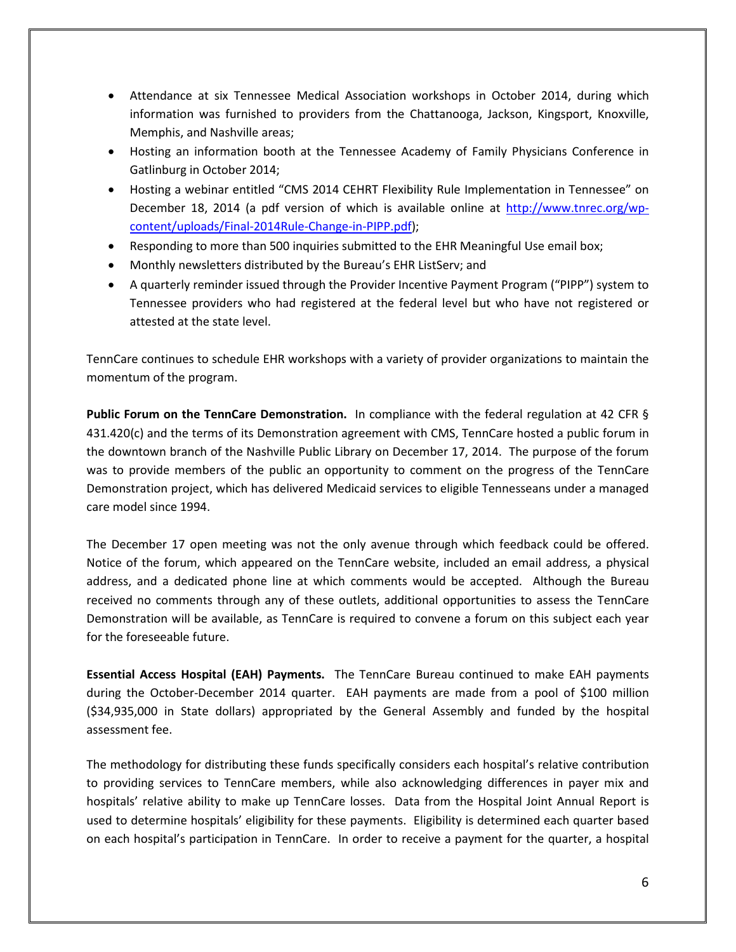- Attendance at six Tennessee Medical Association workshops in October 2014, during which information was furnished to providers from the Chattanooga, Jackson, Kingsport, Knoxville, Memphis, and Nashville areas;
- Hosting an information booth at the Tennessee Academy of Family Physicians Conference in Gatlinburg in October 2014;
- Hosting a webinar entitled "CMS 2014 CEHRT Flexibility Rule Implementation in Tennessee" on December 18, 2014 (a pdf version of which is available online at [http://www.tnrec.org/wp](http://www.tnrec.org/wp-content/uploads/Final-2014Rule-Change-in-PIPP.pdf)[content/uploads/Final-2014Rule-Change-in-PIPP.pdf\)](http://www.tnrec.org/wp-content/uploads/Final-2014Rule-Change-in-PIPP.pdf);
- Responding to more than 500 inquiries submitted to the EHR Meaningful Use email box;
- Monthly newsletters distributed by the Bureau's EHR ListServ; and
- A quarterly reminder issued through the Provider Incentive Payment Program ("PIPP") system to Tennessee providers who had registered at the federal level but who have not registered or attested at the state level.

TennCare continues to schedule EHR workshops with a variety of provider organizations to maintain the momentum of the program.

**Public Forum on the TennCare Demonstration.** In compliance with the federal regulation at 42 CFR § 431.420(c) and the terms of its Demonstration agreement with CMS, TennCare hosted a public forum in the downtown branch of the Nashville Public Library on December 17, 2014. The purpose of the forum was to provide members of the public an opportunity to comment on the progress of the TennCare Demonstration project, which has delivered Medicaid services to eligible Tennesseans under a managed care model since 1994.

The December 17 open meeting was not the only avenue through which feedback could be offered. Notice of the forum, which appeared on the TennCare website, included an email address, a physical address, and a dedicated phone line at which comments would be accepted. Although the Bureau received no comments through any of these outlets, additional opportunities to assess the TennCare Demonstration will be available, as TennCare is required to convene a forum on this subject each year for the foreseeable future.

**Essential Access Hospital (EAH) Payments.** The TennCare Bureau continued to make EAH payments during the October-December 2014 quarter. EAH payments are made from a pool of \$100 million (\$34,935,000 in State dollars) appropriated by the General Assembly and funded by the hospital assessment fee.

The methodology for distributing these funds specifically considers each hospital's relative contribution to providing services to TennCare members, while also acknowledging differences in payer mix and hospitals' relative ability to make up TennCare losses. Data from the Hospital Joint Annual Report is used to determine hospitals' eligibility for these payments. Eligibility is determined each quarter based on each hospital's participation in TennCare. In order to receive a payment for the quarter, a hospital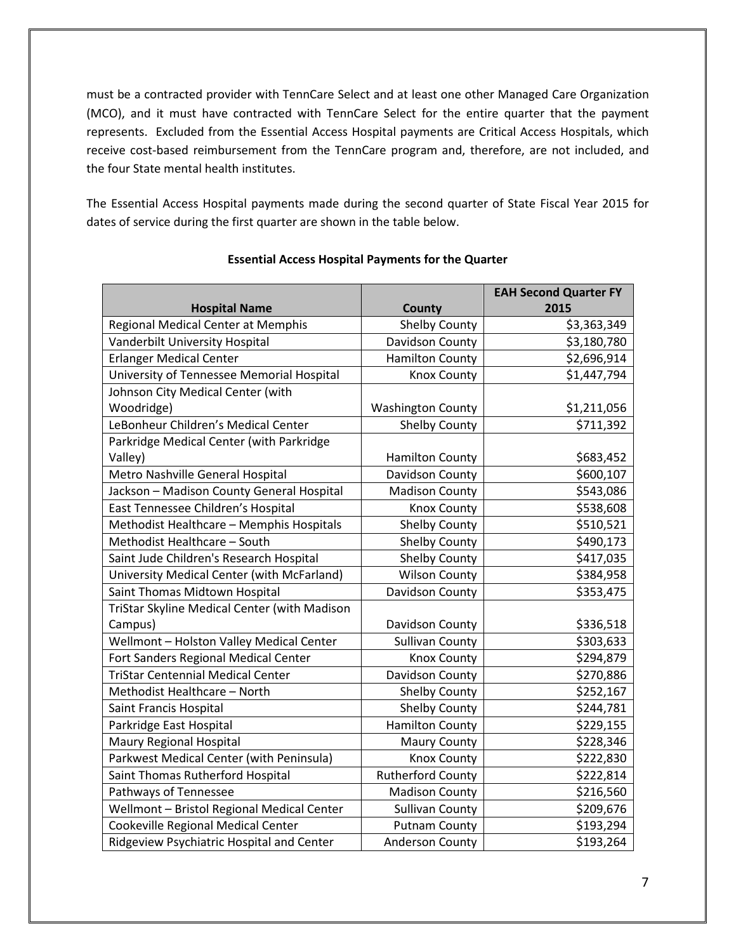must be a contracted provider with TennCare Select and at least one other Managed Care Organization (MCO), and it must have contracted with TennCare Select for the entire quarter that the payment represents. Excluded from the Essential Access Hospital payments are Critical Access Hospitals, which receive cost-based reimbursement from the TennCare program and, therefore, are not included, and the four State mental health institutes.

The Essential Access Hospital payments made during the second quarter of State Fiscal Year 2015 for dates of service during the first quarter are shown in the table below.

| <b>Hospital Name</b>                         | County                   | <b>EAH Second Quarter FY</b><br>2015 |
|----------------------------------------------|--------------------------|--------------------------------------|
| Regional Medical Center at Memphis           | Shelby County            | \$3,363,349                          |
| Vanderbilt University Hospital               | Davidson County          | \$3,180,780                          |
| <b>Erlanger Medical Center</b>               | <b>Hamilton County</b>   | \$2,696,914                          |
| University of Tennessee Memorial Hospital    | <b>Knox County</b>       | \$1,447,794                          |
| Johnson City Medical Center (with            |                          |                                      |
| Woodridge)                                   | <b>Washington County</b> | \$1,211,056                          |
| LeBonheur Children's Medical Center          | <b>Shelby County</b>     | \$711,392                            |
| Parkridge Medical Center (with Parkridge     |                          |                                      |
| Valley)                                      | <b>Hamilton County</b>   | \$683,452                            |
| Metro Nashville General Hospital             | Davidson County          | \$600,107                            |
| Jackson - Madison County General Hospital    | <b>Madison County</b>    | \$543,086                            |
| East Tennessee Children's Hospital           | <b>Knox County</b>       | \$538,608                            |
| Methodist Healthcare - Memphis Hospitals     | <b>Shelby County</b>     | \$510,521                            |
| Methodist Healthcare - South                 | <b>Shelby County</b>     | \$490,173                            |
| Saint Jude Children's Research Hospital      | <b>Shelby County</b>     | \$417,035                            |
| University Medical Center (with McFarland)   | <b>Wilson County</b>     | \$384,958                            |
| Saint Thomas Midtown Hospital                | Davidson County          | \$353,475                            |
| TriStar Skyline Medical Center (with Madison |                          |                                      |
| Campus)                                      | Davidson County          | \$336,518                            |
| Wellmont - Holston Valley Medical Center     | <b>Sullivan County</b>   | \$303,633                            |
| Fort Sanders Regional Medical Center         | <b>Knox County</b>       | \$294,879                            |
| <b>TriStar Centennial Medical Center</b>     | Davidson County          | \$270,886                            |
| Methodist Healthcare - North                 | <b>Shelby County</b>     | \$252,167                            |
| Saint Francis Hospital                       | <b>Shelby County</b>     | \$244,781                            |
| Parkridge East Hospital                      | <b>Hamilton County</b>   | \$229,155                            |
| Maury Regional Hospital                      | <b>Maury County</b>      | \$228,346                            |
| Parkwest Medical Center (with Peninsula)     | <b>Knox County</b>       | \$222,830                            |
| Saint Thomas Rutherford Hospital             | <b>Rutherford County</b> | \$222,814                            |
| Pathways of Tennessee                        | <b>Madison County</b>    | \$216,560                            |
| Wellmont - Bristol Regional Medical Center   | <b>Sullivan County</b>   | \$209,676                            |
| Cookeville Regional Medical Center           | <b>Putnam County</b>     | \$193,294                            |
| Ridgeview Psychiatric Hospital and Center    | <b>Anderson County</b>   | \$193,264                            |

### **Essential Access Hospital Payments for the Quarter**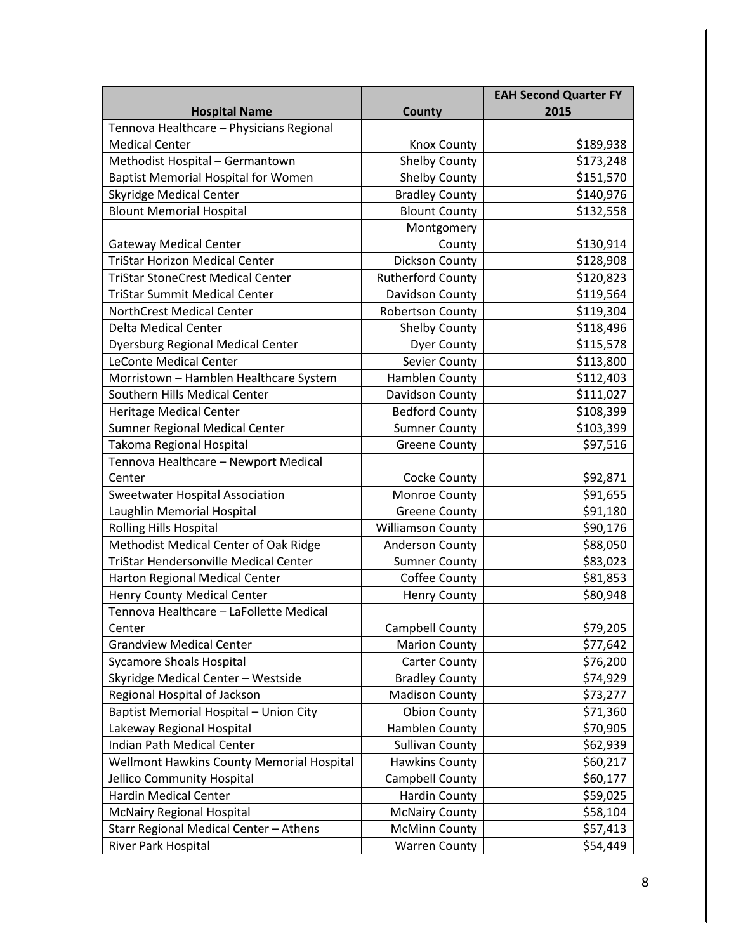|                                              |                          | <b>EAH Second Quarter FY</b> |
|----------------------------------------------|--------------------------|------------------------------|
| <b>Hospital Name</b>                         | County                   | 2015                         |
| Tennova Healthcare - Physicians Regional     |                          |                              |
| <b>Medical Center</b>                        | Knox County              | \$189,938                    |
| Methodist Hospital - Germantown              | Shelby County            | \$173,248                    |
| <b>Baptist Memorial Hospital for Women</b>   | <b>Shelby County</b>     | \$151,570                    |
| <b>Skyridge Medical Center</b>               | <b>Bradley County</b>    | \$140,976                    |
| <b>Blount Memorial Hospital</b>              | <b>Blount County</b>     | \$132,558                    |
|                                              | Montgomery               |                              |
| <b>Gateway Medical Center</b>                | County                   | \$130,914                    |
| <b>TriStar Horizon Medical Center</b>        | Dickson County           | \$128,908                    |
| <b>TriStar StoneCrest Medical Center</b>     | <b>Rutherford County</b> | \$120,823                    |
| <b>TriStar Summit Medical Center</b>         | Davidson County          | \$119,564                    |
| <b>NorthCrest Medical Center</b>             | <b>Robertson County</b>  | \$119,304                    |
| <b>Delta Medical Center</b>                  | <b>Shelby County</b>     | \$118,496                    |
| <b>Dyersburg Regional Medical Center</b>     | <b>Dyer County</b>       | \$115,578                    |
| <b>LeConte Medical Center</b>                | Sevier County            | \$113,800                    |
| Morristown - Hamblen Healthcare System       | Hamblen County           | \$112,403                    |
| Southern Hills Medical Center                | Davidson County          | \$111,027                    |
| <b>Heritage Medical Center</b>               | <b>Bedford County</b>    | \$108,399                    |
| <b>Sumner Regional Medical Center</b>        | <b>Sumner County</b>     | \$103,399                    |
| Takoma Regional Hospital                     | <b>Greene County</b>     | \$97,516                     |
| Tennova Healthcare - Newport Medical         |                          |                              |
| Center                                       | Cocke County             | \$92,871                     |
| Sweetwater Hospital Association              | Monroe County            | \$91,655                     |
| Laughlin Memorial Hospital                   | <b>Greene County</b>     | \$91,180                     |
| <b>Rolling Hills Hospital</b>                | <b>Williamson County</b> | \$90,176                     |
| Methodist Medical Center of Oak Ridge        | Anderson County          | \$88,050                     |
| <b>TriStar Hendersonville Medical Center</b> | <b>Sumner County</b>     | \$83,023                     |
| Harton Regional Medical Center               | Coffee County            | \$81,853                     |
| <b>Henry County Medical Center</b>           | <b>Henry County</b>      | \$80,948                     |
| Tennova Healthcare - LaFollette Medical      |                          |                              |
| Center                                       | Campbell County          | \$79,205                     |
| <b>Grandview Medical Center</b>              | <b>Marion County</b>     | \$77,642                     |
| <b>Sycamore Shoals Hospital</b>              | <b>Carter County</b>     | \$76,200                     |
| Skyridge Medical Center - Westside           | <b>Bradley County</b>    | \$74,929                     |
| Regional Hospital of Jackson                 | <b>Madison County</b>    | \$73,277                     |
| Baptist Memorial Hospital - Union City       | <b>Obion County</b>      | \$71,360                     |
| Lakeway Regional Hospital                    | Hamblen County           | \$70,905                     |
| Indian Path Medical Center                   | <b>Sullivan County</b>   | \$62,939                     |
| Wellmont Hawkins County Memorial Hospital    | <b>Hawkins County</b>    | \$60,217                     |
| Jellico Community Hospital                   | Campbell County          | \$60,177                     |
| Hardin Medical Center                        | Hardin County            | \$59,025                     |
| <b>McNairy Regional Hospital</b>             | <b>McNairy County</b>    | \$58,104                     |
| Starr Regional Medical Center - Athens       | <b>McMinn County</b>     | \$57,413                     |
| River Park Hospital                          | <b>Warren County</b>     | \$54,449                     |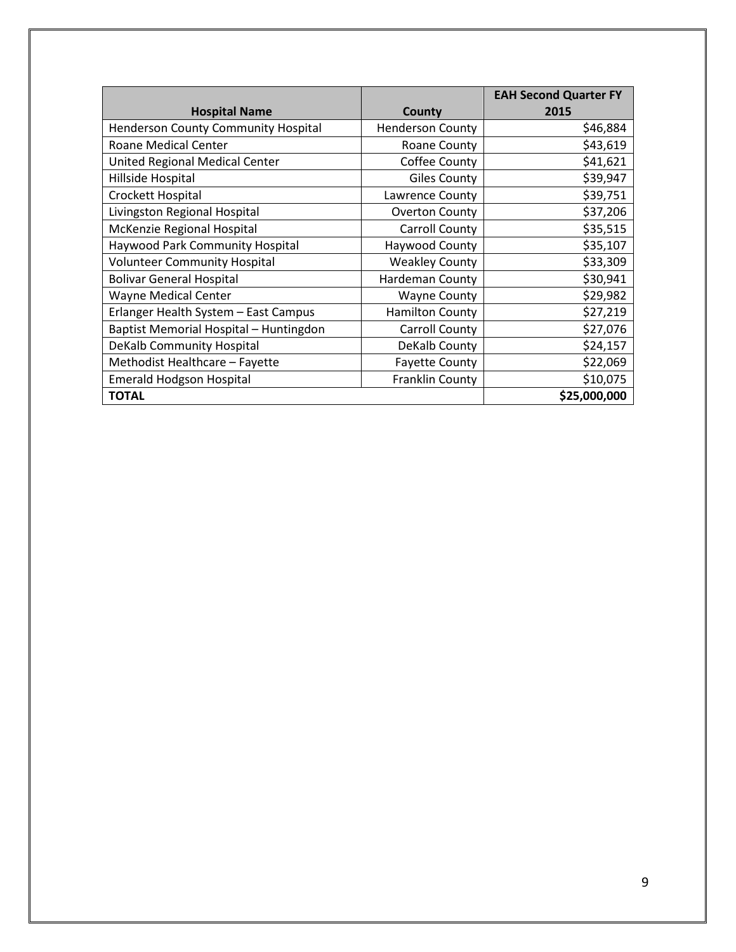|                                        |                         | <b>EAH Second Quarter FY</b> |
|----------------------------------------|-------------------------|------------------------------|
| <b>Hospital Name</b>                   | County                  | 2015                         |
| Henderson County Community Hospital    | <b>Henderson County</b> | \$46,884                     |
| <b>Roane Medical Center</b>            | Roane County            | \$43,619                     |
| United Regional Medical Center         | Coffee County           | \$41,621                     |
| Hillside Hospital                      | <b>Giles County</b>     | \$39,947                     |
| Crockett Hospital                      | Lawrence County         | \$39,751                     |
| Livingston Regional Hospital           | <b>Overton County</b>   | \$37,206                     |
| McKenzie Regional Hospital             | Carroll County          | \$35,515                     |
| <b>Haywood Park Community Hospital</b> | Haywood County          | \$35,107                     |
| <b>Volunteer Community Hospital</b>    | <b>Weakley County</b>   | \$33,309                     |
| <b>Bolivar General Hospital</b>        | Hardeman County         | \$30,941                     |
| <b>Wayne Medical Center</b>            | <b>Wayne County</b>     | \$29,982                     |
| Erlanger Health System - East Campus   | <b>Hamilton County</b>  | \$27,219                     |
| Baptist Memorial Hospital - Huntingdon | Carroll County          | \$27,076                     |
| DeKalb Community Hospital              | DeKalb County           | \$24,157                     |
| Methodist Healthcare - Fayette         | <b>Fayette County</b>   | \$22,069                     |
| <b>Emerald Hodgson Hospital</b>        | <b>Franklin County</b>  | \$10,075                     |
| <b>TOTAL</b>                           |                         | \$25,000,000                 |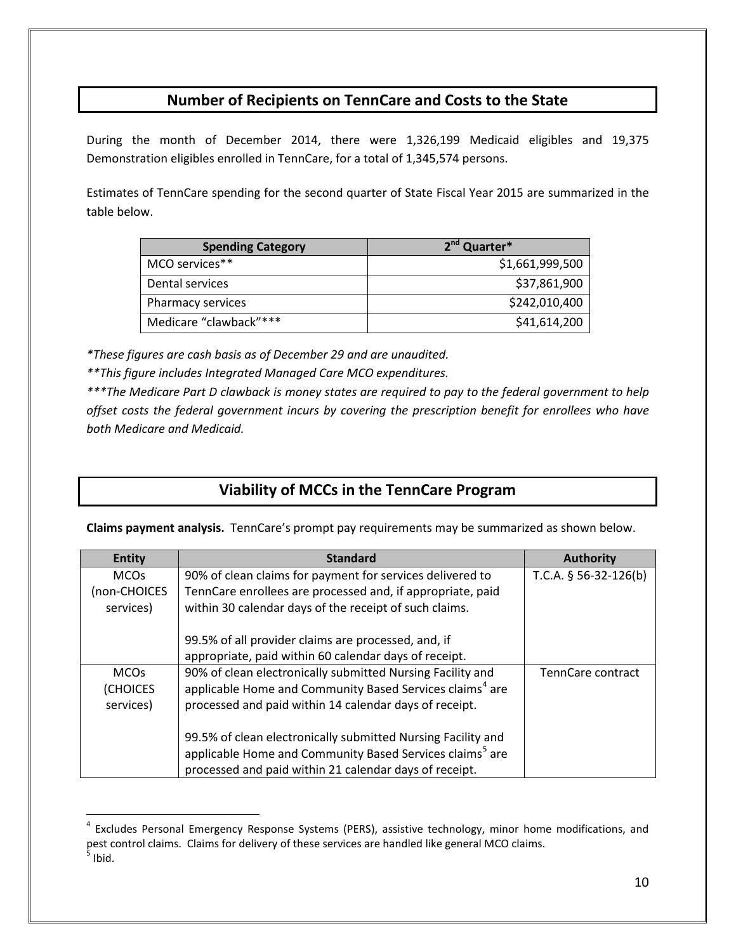## **Number of Recipients on TennCare and Costs to the State**

During the month of December 2014, there were 1,326,199 Medicaid eligibles and 19,375 Demonstration eligibles enrolled in TennCare, for a total of 1,345,574 persons.

Estimates of TennCare spending for the second quarter of State Fiscal Year 2015 are summarized in the table below.

| <b>Spending Category</b> | 2 <sup>nd</sup> Quarter* |
|--------------------------|--------------------------|
| MCO services**           | \$1,661,999,500          |
| Dental services          | \$37,861,900             |
| Pharmacy services        | \$242,010,400            |
| Medicare "clawback"***   | \$41,614,200             |

*\*These figures are cash basis as of December 29 and are unaudited.*

*\*\*This figure includes Integrated Managed Care MCO expenditures.*

 $\overline{a}$ 

*\*\*\*The Medicare Part D clawback is money states are required to pay to the federal government to help offset costs the federal government incurs by covering the prescription benefit for enrollees who have both Medicare and Medicaid.*

## **Viability of MCCs in the TennCare Program**

**Claims payment analysis.** TennCare's prompt pay requirements may be summarized as shown below.

| <b>Entity</b> | <b>Standard</b>                                                      | <b>Authority</b>        |
|---------------|----------------------------------------------------------------------|-------------------------|
| <b>MCOs</b>   | 90% of clean claims for payment for services delivered to            | T.C.A. $§$ 56-32-126(b) |
| (non-CHOICES  | TennCare enrollees are processed and, if appropriate, paid           |                         |
| services)     | within 30 calendar days of the receipt of such claims.               |                         |
|               |                                                                      |                         |
|               | 99.5% of all provider claims are processed, and, if                  |                         |
|               | appropriate, paid within 60 calendar days of receipt.                |                         |
| <b>MCOs</b>   | 90% of clean electronically submitted Nursing Facility and           | TennCare contract       |
| (CHOICES      | applicable Home and Community Based Services claims <sup>4</sup> are |                         |
| services)     | processed and paid within 14 calendar days of receipt.               |                         |
|               |                                                                      |                         |
|               | 99.5% of clean electronically submitted Nursing Facility and         |                         |
|               | applicable Home and Community Based Services claims <sup>5</sup> are |                         |
|               | processed and paid within 21 calendar days of receipt.               |                         |

<span id="page-9-1"></span><span id="page-9-0"></span><sup>&</sup>lt;sup>4</sup> Excludes Personal Emergency Response Systems (PERS), assistive technology, minor home modifications, and pest control claims. Claims for delivery of these services are handled like general MCO claims.  $<sup>5</sup>$  Ibid.</sup>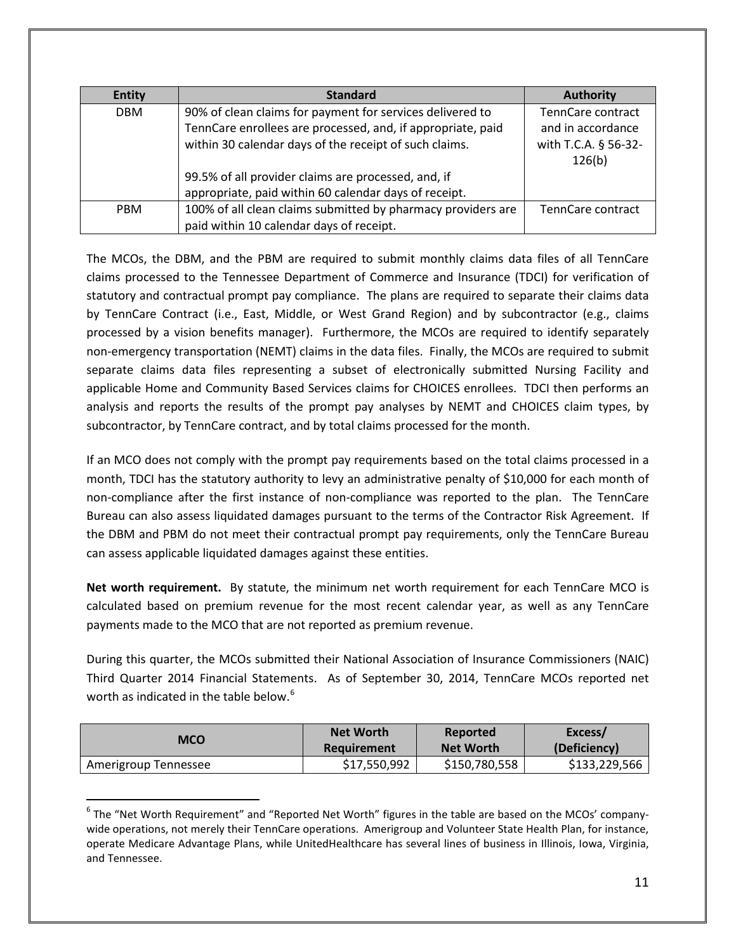| <b>Entity</b> | <b>Standard</b>                                              | <b>Authority</b>     |
|---------------|--------------------------------------------------------------|----------------------|
| <b>DBM</b>    | 90% of clean claims for payment for services delivered to    | TennCare contract    |
|               | TennCare enrollees are processed, and, if appropriate, paid  | and in accordance    |
|               | within 30 calendar days of the receipt of such claims.       | with T.C.A. § 56-32- |
|               |                                                              | 126(b)               |
|               | 99.5% of all provider claims are processed, and, if          |                      |
|               | appropriate, paid within 60 calendar days of receipt.        |                      |
| <b>PBM</b>    | 100% of all clean claims submitted by pharmacy providers are | TennCare contract    |
|               | paid within 10 calendar days of receipt.                     |                      |

The MCOs, the DBM, and the PBM are required to submit monthly claims data files of all TennCare claims processed to the Tennessee Department of Commerce and Insurance (TDCI) for verification of statutory and contractual prompt pay compliance. The plans are required to separate their claims data by TennCare Contract (i.e., East, Middle, or West Grand Region) and by subcontractor (e.g., claims processed by a vision benefits manager). Furthermore, the MCOs are required to identify separately non-emergency transportation (NEMT) claims in the data files. Finally, the MCOs are required to submit separate claims data files representing a subset of electronically submitted Nursing Facility and applicable Home and Community Based Services claims for CHOICES enrollees. TDCI then performs an analysis and reports the results of the prompt pay analyses by NEMT and CHOICES claim types, by subcontractor, by TennCare contract, and by total claims processed for the month.

If an MCO does not comply with the prompt pay requirements based on the total claims processed in a month, TDCI has the statutory authority to levy an administrative penalty of \$10,000 for each month of non-compliance after the first instance of non-compliance was reported to the plan. The TennCare Bureau can also assess liquidated damages pursuant to the terms of the Contractor Risk Agreement. If the DBM and PBM do not meet their contractual prompt pay requirements, only the TennCare Bureau can assess applicable liquidated damages against these entities.

**Net worth requirement.** By statute, the minimum net worth requirement for each TennCare MCO is calculated based on premium revenue for the most recent calendar year, as well as any TennCare payments made to the MCO that are not reported as premium revenue.

During this quarter, the MCOs submitted their National Association of Insurance Commissioners (NAIC) Third Quarter 2014 Financial Statements. As of September 30, 2014, TennCare MCOs reported net worth as indicated in the table below.<sup>[6](#page-10-0)</sup>

| <b>MCO</b>           | <b>Net Worth</b>   | Reported         | Excess/       |
|----------------------|--------------------|------------------|---------------|
|                      | <b>Requirement</b> | <b>Net Worth</b> | (Deficiency)  |
| Amerigroup Tennessee | \$17,550,992       | \$150,780,558    | \$133,229,566 |

<span id="page-10-0"></span> $6$  The "Net Worth Requirement" and "Reported Net Worth" figures in the table are based on the MCOs' companywide operations, not merely their TennCare operations. Amerigroup and Volunteer State Health Plan, for instance, operate Medicare Advantage Plans, while UnitedHealthcare has several lines of business in Illinois, Iowa, Virginia, and Tennessee.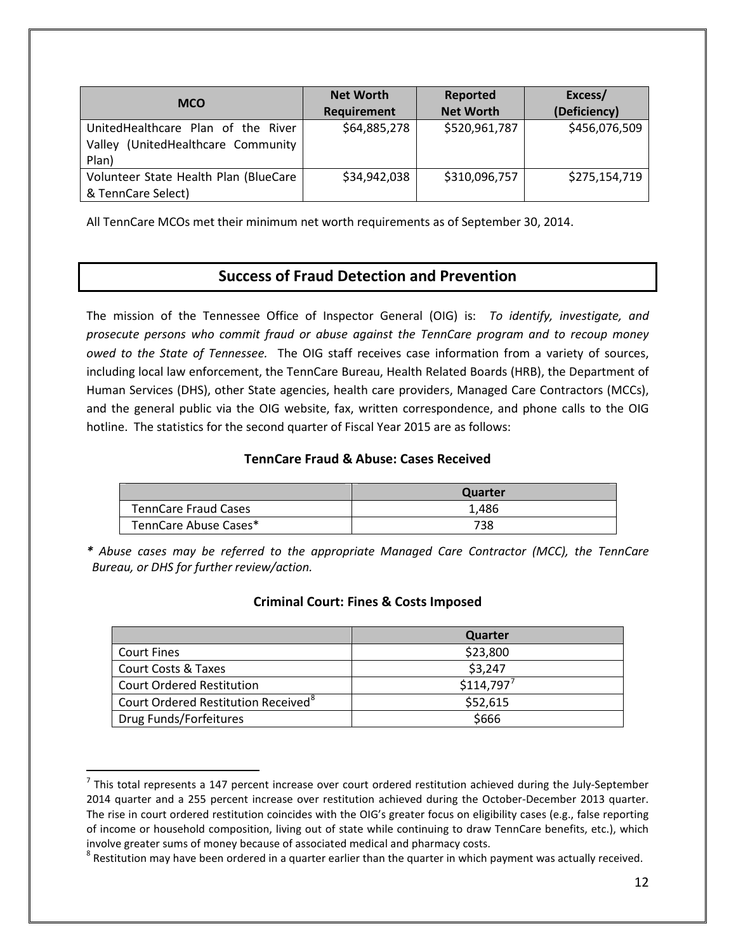| <b>MCO</b>                                                                           | <b>Net Worth</b><br>Requirement | Reported<br><b>Net Worth</b> | Excess/<br>(Deficiency) |
|--------------------------------------------------------------------------------------|---------------------------------|------------------------------|-------------------------|
| UnitedHealthcare Plan of the River<br>(UnitedHealthcare Community<br>Valley<br>Plan) | \$64,885,278                    | \$520,961,787                | \$456,076,509           |
| Volunteer State Health Plan (BlueCare<br>& TennCare Select)                          | \$34,942,038                    | \$310,096,757                | \$275,154,719           |

All TennCare MCOs met their minimum net worth requirements as of September 30, 2014.

## **Success of Fraud Detection and Prevention**

The mission of the Tennessee Office of Inspector General (OIG) is: *To identify, investigate, and prosecute persons who commit fraud or abuse against the TennCare program and to recoup money owed to the State of Tennessee.* The OIG staff receives case information from a variety of sources, including local law enforcement, the TennCare Bureau, Health Related Boards (HRB), the Department of Human Services (DHS), other State agencies, health care providers, Managed Care Contractors (MCCs), and the general public via the OIG website, fax, written correspondence, and phone calls to the OIG hotline. The statistics for the second quarter of Fiscal Year 2015 are as follows:

### **TennCare Fraud & Abuse: Cases Received**

|                             | <b>Quarter</b> |
|-----------------------------|----------------|
| <b>TennCare Fraud Cases</b> | 1.486          |
| TennCare Abuse Cases*       | 738            |

*\* Abuse cases may be referred to the appropriate Managed Care Contractor (MCC), the TennCare Bureau, or DHS for further review/action.*

|                                                 | Quarter   |
|-------------------------------------------------|-----------|
| <b>Court Fines</b>                              | \$23,800  |
| <b>Court Costs &amp; Taxes</b>                  | \$3,247   |
| <b>Court Ordered Restitution</b>                | \$114,797 |
| Court Ordered Restitution Received <sup>8</sup> | \$52,615  |
| Drug Funds/Forfeitures                          | \$666     |

## **Criminal Court: Fines & Costs Imposed**

<span id="page-11-0"></span> $<sup>7</sup>$  This total represents a 147 percent increase over court ordered restitution achieved during the July-September</sup> 2014 quarter and a 255 percent increase over restitution achieved during the October-December 2013 quarter. The rise in court ordered restitution coincides with the OIG's greater focus on eligibility cases (e.g., false reporting of income or household composition, living out of state while continuing to draw TennCare benefits, etc.), which involve greater sums of money because of associated medical and pharmacy costs.<br><sup>8</sup> Restitution may have been ordered in a quarter earlier than the quarter in which payment was actually received.

<span id="page-11-1"></span>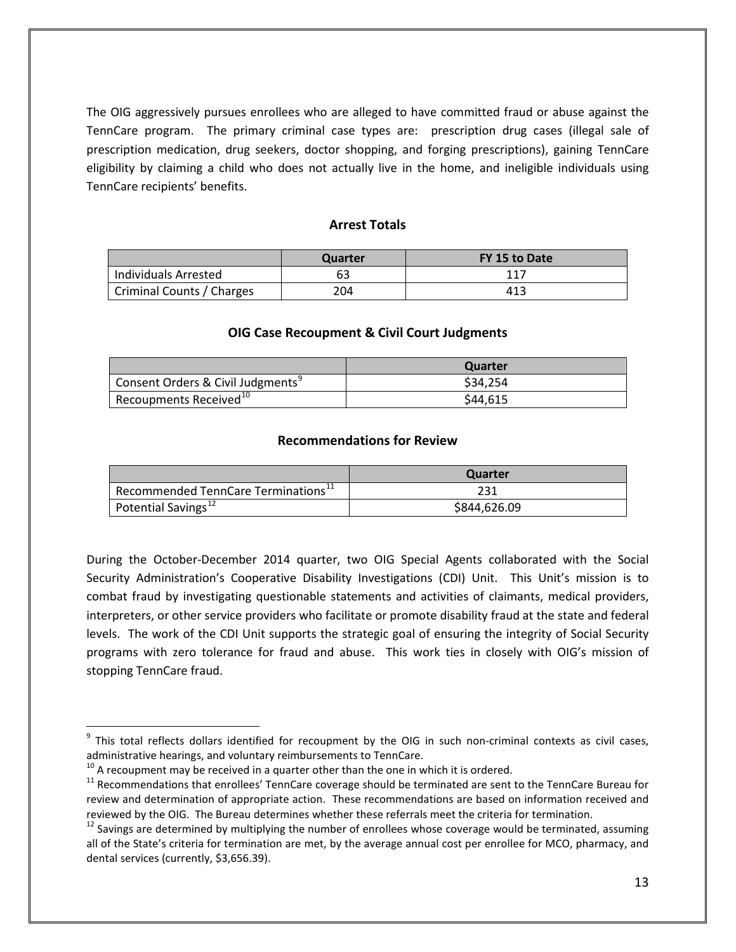The OIG aggressively pursues enrollees who are alleged to have committed fraud or abuse against the TennCare program. The primary criminal case types are: prescription drug cases (illegal sale of prescription medication, drug seekers, doctor shopping, and forging prescriptions), gaining TennCare eligibility by claiming a child who does not actually live in the home, and ineligible individuals using TennCare recipients' benefits.

### **Arrest Totals**

|                           | Quarter | FY 15 to Date |
|---------------------------|---------|---------------|
| Individuals Arrested      | 63      | 117           |
| Criminal Counts / Charges | 204     | 413           |

#### **OIG Case Recoupment & Civil Court Judgments**

|                                               | Quarter  |
|-----------------------------------------------|----------|
| Consent Orders & Civil Judgments <sup>9</sup> | \$34,254 |
| Recoupments Received $^{10}$                  | \$44,615 |

#### **Recommendations for Review**

|                                                 | Quarter      |
|-------------------------------------------------|--------------|
| Recommended TennCare Terminations <sup>11</sup> | 231          |
| Potential Savings <sup>12</sup>                 | \$844,626.09 |

During the October-December 2014 quarter, two OIG Special Agents collaborated with the Social Security Administration's Cooperative Disability Investigations (CDI) Unit. This Unit's mission is to combat fraud by investigating questionable statements and activities of claimants, medical providers, interpreters, or other service providers who facilitate or promote disability fraud at the state and federal levels. The work of the CDI Unit supports the strategic goal of ensuring the integrity of Social Security programs with zero tolerance for fraud and abuse. This work ties in closely with OIG's mission of stopping TennCare fraud.

<span id="page-12-0"></span> $9$  This total reflects dollars identified for recoupment by the OIG in such non-criminal contexts as civil cases,

<span id="page-12-2"></span>

<span id="page-12-1"></span>administrative hearings, and voluntary reimbursements to TennCare.<br><sup>10</sup> A recoupment may be received in a quarter other than the one in which it is ordered.<br><sup>11</sup> Recommendations that enrollees' TennCare coverage should be review and determination of appropriate action. These recommendations are based on information received and reviewed by the OIG. The Bureau determines whether these referrals meet the criteria for termination.<br><sup>12</sup> Savings are determined by multiplying the number of enrollees whose coverage would be terminated, assuming

<span id="page-12-3"></span>all of the State's criteria for termination are met, by the average annual cost per enrollee for MCO, pharmacy, and dental services (currently, \$3,656.39).